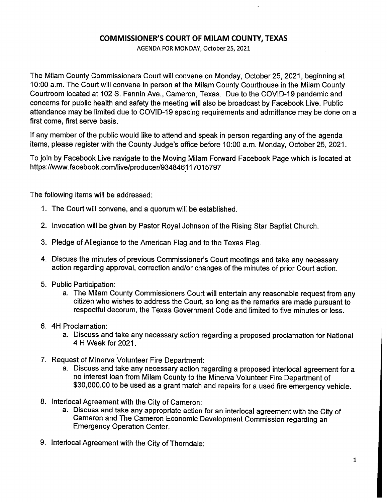## **COMMISSIONER'S COURT OF MILAM COUNTY, TEXAS**

AGENDA FOR MONDAY, October 25, 2021

The Milam County Commissioners Court will convene on Monday, October 25, 2021, beginning at 10:00 a.m. The Court will convene in person at the Milam County Courthouse in the Milam County Courtroom located at 102 S. Fannin Ave., Cameron, Texas. Due to the COVID-19 pandemic and concerns for public health and safety the meeting will also be broadcast by Facebook Live. Public attendance may be limited due to COVID-19 spacing requirements and admittance may be done on a first come, first serve basis.

If any member of the public would like to attend and speak in person regarding any of the agenda items, please register with the County Judge's office before 10:00 a.m. Monday, October 25, 2021.

To join by Facebook Live navigate to the Moving Milam Forward Facebook Page which is located at https://www.facebook.com/1ive/producer/93484611 7015797

The following items will be addressed:

- 1. The Court will convene, and a quorum will be established.
- 2. Invocation will be given by Pastor Royal Johnson of the Rising Star Baptist Church.
- 3. Pledge of Allegiance to the American Flag and to the Texas Flag.
- 4. Discuss the minutes of previous Commissioner's Court meetings and take any necessary action regarding approval, correction and/or changes of the minutes of prior Court action.
- 5. Public Participation:
	- a. The Milam County Commissioners Court will entertain any reasonable request from any citizen who wishes to address the Court, so long as the remarks are made pursuant to respectful decorum, the Texas Government Code and limited to five minutes or less.
- 6. 4H Proclamation:
	- a. Discuss and take any necessary action regarding a proposed proclamation for National 4 H Week for 2021.
- 7. Request of Minerva Volunteer Fire Department:
	- a. Discuss and take any necessary action regarding a proposed interlocal agreement for a no interest loan from Milam County to the Minerva Volunteer Fire Department of \$30,000.00 to be used as a grant match and repairs for a used fire emergency vehicle.
- 8. lnterlocal Agreement with the City of Cameron:
	- a. Discuss and take any appropriate action for an interlocal agreement with the City of Cameron and The Cameron Economic Development Commission regarding an Emergency Operation Center.
- 9. Interlocal Agreement with the City of Thorndale: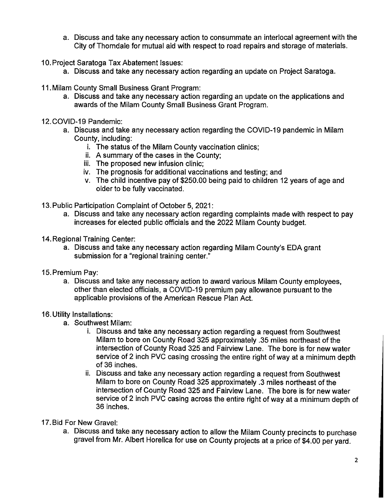- a. Discuss and take any necessary action to consummate an interlocal agreement with the City of Thorndale for mutual aid with respect to road repairs and storage of materials.
- 10. Project Saratoga Tax Abatement Issues:
	- a. Discuss and take any necessary action regarding an update on Project Saratoga.
- 11. Milam County Small Business Grant Program:
	- a. Discuss and take any necessary action regarding an update on the applications and awards of the Milam County Small Business Grant Program.
- 12.COVID-19 Pandemic:
	- a. Discuss and take any necessary action regarding the COVID-19 pandemic in Milam County, including:
		- i. The status of the Milam County vaccination clinics;
		- ii. A summary of the cases in the County;
		- iii. The proposed new infusion clinic;
		- iv. The prognosis for additional vaccinations and testing; and
		- v. The child incentive pay of \$250.00 being paid to children 12 years of age and older to be fully vaccinated.
- 13. Public Participation Complaint of October 5, 2021:
	- a. Discuss and take any necessary action regarding complaints made with respect to pay increases for elected public officials and the 2022 Milam County budget.
- 14. Regional Training Center:
	- a. Discuss and take any necessary action regarding Milam County's EDA grant submission for a "regional training center."
- 15. Premium Pay:
	- a. Discuss and take any necessary action to award various Milam County employees, other than elected officials, a COVID-19 premium pay allowance pursuant to the applicable provisions of the American Rescue Plan Act.

## 16. Utility Installations:

- a. Southwest Milam:
	- i. Discuss and take any necessary action regarding a request from Southwest Milam to bore on County Road 325 approximately .35 miles northeast of the intersection of County Road 325 and Fairview Lane. The bore is for new water service of 2 inch PVC casing crossing the entire right of way at a minimum depth of 36 inches.
	- ii. Discuss and take any necessary action regarding a request from Southwest Milam to bore on County Road 325 approximately .3 miles northeast of the intersection of County Road 325 and Fairview Lane. The bore is for new water service of 2 inch PVC casing across the entire right of way at a minimum depth of 36 inches.
- 17. Bid For New Gravel:
	- a. Discuss and take any necessary action to allow the Milam County precincts to purchase gravel from Mr. Albert Horelica for use on County projects at a price of \$4.00 per yard.